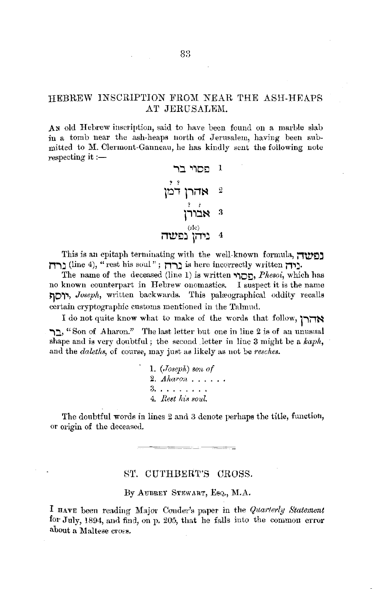## HEBREW INSCRIPTION FROM NEAR THE ASH-HEAPS .AT JERUSALEM.

A<sub>N</sub> old Hebrew inscription, said to have been found on a marble slab in a tomb near the ash-heaps north of Jerusalem, having been submitted to M. Clermont-Ganneau, he has kindly sent the following note respecting it  $:$ -

> **.,j .,,oo** <sup>l</sup> ? *?*  **iDi l""i1~** <sup>2</sup> ? *i*  **pijN** :l (sic) **i1\V!:l'.:1 jii'lj** 4

This is an epitaph terminating with the well-known formula, **i1\V!:l~ n-,:i** (line 4), "rest his soul"; **n-,:** is here inct•rrectly written **j1'1j,** 

The name of the deceased (line 1) is written **'liD!:l,** *Phesoi,* which has no known counterpart in Hebrew onomastics. I suspect it is the name **~D,.,,** *Joseph,* written backwards. This palfEographical oddity recalls certain cryptographic customs mentioned in the Talmnd.

I do not quite know wliat to make of the words that follow, **1 -,;-,N -,j,** "Son of .Aharon." The last letter but one in line 2 is of an unusual shape and is very doubtful; the second letter in line 3 might be a *kaph,*  and the *daleths*, of course, may just as likely as not be *resches*.

> 1. *(,Tosepli) Bon of*  2. *Aharon* . . . . . . 3. . . . . . . . . 4. Rest his soul.

The doubtful words in lines 2 and 3 denote perhaps the title, function, or origin of the deceased.

81'. CUTHBERT'S CROSS.

By AUBREY STEWART, EsQ., M.A.

I HAVE been reading Major Conder's paper in the *Quarterly Statement* for July, 1894, and find, on p. 205, that he falls into the common error about a Maltese cross.